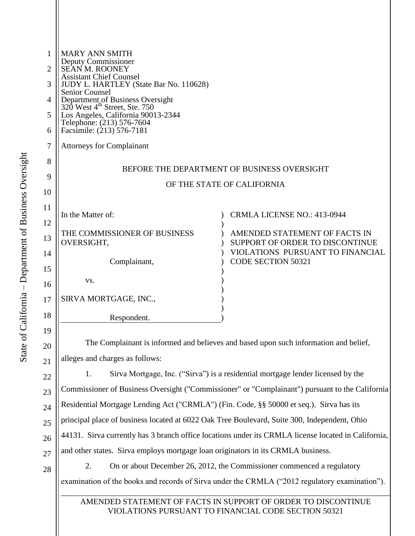| 1              | <b>MARY ANN SMITH</b>                                                                                  |                                                                  |
|----------------|--------------------------------------------------------------------------------------------------------|------------------------------------------------------------------|
| $\overline{2}$ | Deputy Commissioner<br>SEAN M. ROONEY                                                                  |                                                                  |
| 3              | <b>Assistant Chief Counsel</b><br>JUDY L. HARTLEY (State Bar No. 110628)                               |                                                                  |
| 4              | <b>Senior Counsel</b><br>Department of Business Oversight<br>320 West 4 <sup>th</sup> Street, Ste. 750 |                                                                  |
| 5              | Los Angeles, California 90013-2344<br>Telephone: (213) 576-7604                                        |                                                                  |
| 6              | Facsimile: (213) 576-7181                                                                              |                                                                  |
| 7              | <b>Attorneys for Complainant</b>                                                                       |                                                                  |
| 8              |                                                                                                        |                                                                  |
| 9              | BEFORE THE DEPARTMENT OF BUSINESS OVERSIGHT                                                            |                                                                  |
|                |                                                                                                        | OF THE STATE OF CALIFORNIA                                       |
| 10             |                                                                                                        |                                                                  |
| 11             |                                                                                                        |                                                                  |
| 12             | In the Matter of:                                                                                      | <b>CRMLA LICENSE NO.: 413-0944</b>                               |
| 13             | THE COMMISSIONER OF BUSINESS                                                                           | AMENDED STATEMENT OF FACTS IN<br>SUPPORT OF ORDER TO DISCONTINUE |
| 14             | OVERSIGHT,                                                                                             | VIOLATIONS PURSUANT TO FINANCIAL                                 |
|                | Complainant,                                                                                           | <b>CODE SECTION 50321</b>                                        |
| 15             |                                                                                                        |                                                                  |
| 16             | VS.                                                                                                    |                                                                  |
| 17             | SIRVA MORTGAGE, INC.,                                                                                  |                                                                  |
| 18             | Respondent.                                                                                            |                                                                  |
|                |                                                                                                        |                                                                  |
| 19             |                                                                                                        |                                                                  |

The Complainant is informed and believes and based upon such information and belief, alleges and charges as follows:

1. Sirva Mortgage, Inc. ("Sirva") is a residential mortgage lender licensed by the Commissioner of Business Oversight ("Commissioner" or "Complainant") pursuant to the California Residential Mortgage Lending Act ("CRMLA") (Fin. Code, §§ 50000 et seq.). Sirva has its principal place of business located at 6022 Oak Tree Boulevard, Suite 300, Independent, Ohio 44131. Sirva currently has 3 branch office locations under its CRMLA license located in California, and other states. Sirva employs mortgage loan originators in its CRMLA business.

2. On or about December 26, 2012, the Commissioner commenced a regulatory examination of the books and records of Sirva under the CRMLA ("2012 regulatory examination").

AMENDED STATEMENT OF FACTS IN SUPPORT OF ORDER TO DISCONTINUE VIOLATIONS PURSUANT TO FINANCIAL CODE SECTION 50321

\_\_\_\_\_\_\_\_\_\_\_\_\_\_\_\_\_\_\_\_\_\_\_\_\_\_\_\_\_\_\_\_\_\_\_\_\_\_\_\_\_\_\_\_\_\_\_\_\_\_\_\_\_\_\_\_\_\_\_\_\_\_\_\_\_\_\_\_\_\_\_\_\_\_\_\_\_\_\_\_\_

20

21

22

23

24

25

26

27

28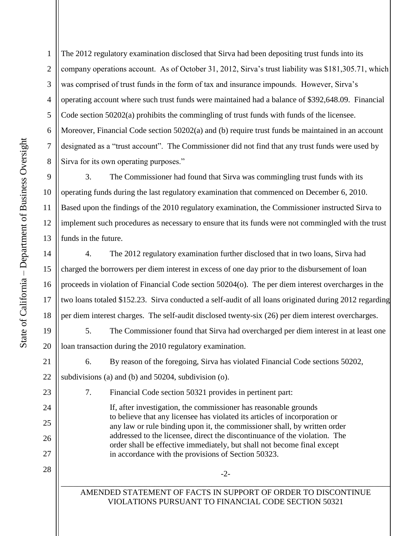The 2012 regulatory examination disclosed that Sirva had been depositing trust funds into its company operations account. As of October 31, 2012, Sirva's trust liability was \$181,305.71, which was comprised of trust funds in the form of tax and insurance impounds. However, Sirva's operating account where such trust funds were maintained had a balance of \$392,648.09. Financial Code section 50202(a) prohibits the commingling of trust funds with funds of the licensee. Moreover, Financial Code section 50202(a) and (b) require trust funds be maintained in an account designated as a "trust account". The Commissioner did not find that any trust funds were used by Sirva for its own operating purposes."

3. The Commissioner had found that Sirva was commingling trust funds with its operating funds during the last regulatory examination that commenced on December 6, 2010. Based upon the findings of the 2010 regulatory examination, the Commissioner instructed Sirva to implement such procedures as necessary to ensure that its funds were not commingled with the trust funds in the future.

4. The 2012 regulatory examination further disclosed that in two loans, Sirva had charged the borrowers per diem interest in excess of one day prior to the disbursement of loan proceeds in violation of Financial Code section 50204(o). The per diem interest overcharges in the two loans totaled \$152.23. Sirva conducted a self-audit of all loans originated during 2012 regarding per diem interest charges. The self-audit disclosed twenty-six (26) per diem interest overcharges.

5. The Commissioner found that Sirva had overcharged per diem interest in at least one loan transaction during the 2010 regulatory examination.

6. By reason of the foregoing, Sirva has violated Financial Code sections 50202, subdivisions (a) and (b) and 50204, subdivision (o).

7. Financial Code section 50321 provides in pertinent part:

in accordance with the provisions of Section 50323.

If, after investigation, the commissioner has reasonable grounds to believe that any licensee has violated its articles of incorporation or any law or rule binding upon it, the commissioner shall, by written order addressed to the licensee, direct the discontinuance of the violation. The order shall be effective immediately, but shall not become final except

\_\_\_\_\_\_\_\_\_\_\_\_\_\_\_\_\_\_\_\_\_\_\_\_\_\_\_\_\_\_\_\_\_\_\_\_\_\_\_\_\_\_\_\_\_\_\_\_\_\_\_\_\_\_\_\_\_\_\_\_\_\_\_\_\_\_\_\_\_\_\_\_\_\_\_\_\_\_\_\_\_ AMENDED STATEMENT OF FACTS IN SUPPORT OF ORDER TO DISCONTINUE VIOLATIONS PURSUANT TO FINANCIAL CODE SECTION 50321

1

2

3

4

5

6

7

8

9

10

11

12

13

14

15

16

17

18

19

20

21

22

23

24

25

26

27

28